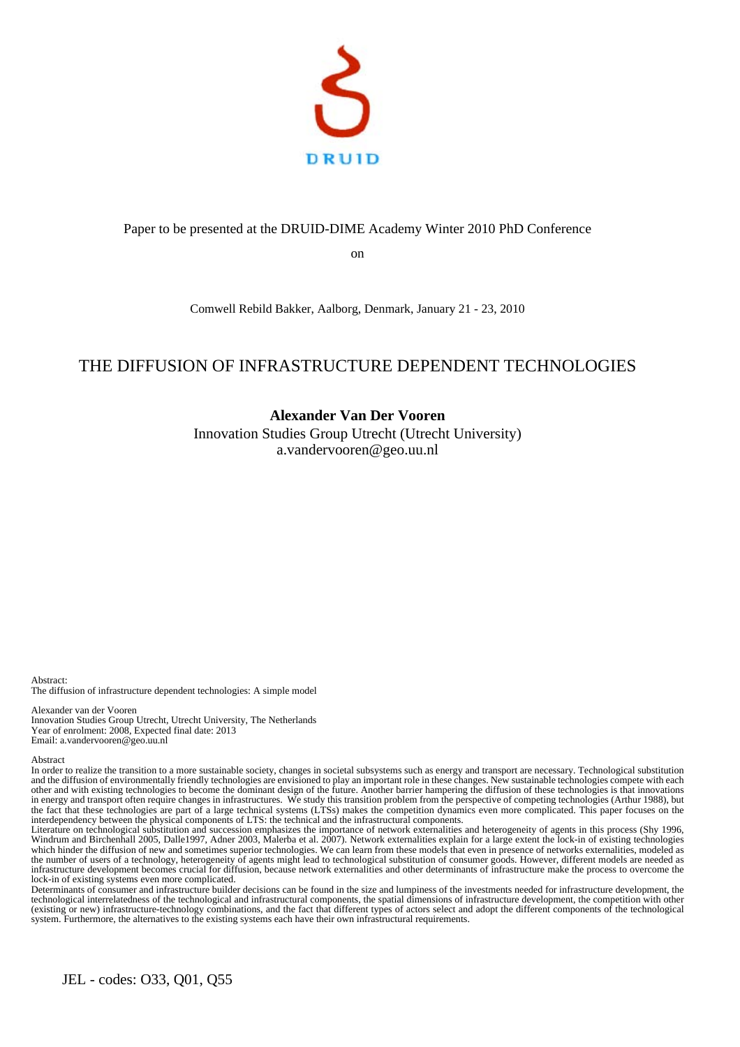

### Paper to be presented at the DRUID-DIME Academy Winter 2010 PhD Conference

on

Comwell Rebild Bakker, Aalborg, Denmark, January 21 - 23, 2010

# THE DIFFUSION OF INFRASTRUCTURE DEPENDENT TECHNOLOGIES

# **Alexander Van Der Vooren**

Innovation Studies Group Utrecht (Utrecht University) a.vandervooren@geo.uu.nl

Abstract: The diffusion of infrastructure dependent technologies: A simple model

Alexander van der Vooren Innovation Studies Group Utrecht, Utrecht University, The Netherlands Year of enrolment: 2008, Expected final date: 2013 Email: a.vandervooren@geo.uu.nl

#### Abstract

In order to realize the transition to a more sustainable society, changes in societal subsystems such as energy and transport are necessary. Technological substitution and the diffusion of environmentally friendly technologies are envisioned to play an important role in these changes. New sustainable technologies compete with each other and with existing technologies to become the dominant design of the future. Another barrier hampering the diffusion of these technologies is that innovations in energy and transport often require changes in infrastructures. We study this transition problem from the perspective of competing technologies (Arthur 1988), but the fact that these technologies are part of a large technical systems (LTSs) makes the competition dynamics even more complicated. This paper focuses on the interdependency between the physical components of LTS: the technical and the infrastructural components.

Literature on technological substitution and succession emphasizes the importance of network externalities and heterogeneity of agents in this process (Shy 1996, Windrum and Birchenhall 2005, Dalle1997, Adner 2003, Malerba et al. 2007). Network externalities explain for a large extent the lock-in of existing technologies which hinder the diffusion of new and sometimes superior technologies. We can learn from these models that even in presence of networks externalities, modeled as the number of users of a technology, heterogeneity of agents might lead to technological substitution of consumer goods. However, different models are needed as infrastructure development becomes crucial for diffusion, because network externalities and other determinants of infrastructure make the process to overcome the lock-in of existing systems even more complicated.

Determinants of consumer and infrastructure builder decisions can be found in the size and lumpiness of the investments needed for infrastructure development, the technological interrelatedness of the technological and infrastructural components, the spatial dimensions of infrastructure development, the competition with other (existing or new) infrastructure-technology combinations, and the fact that different types of actors select and adopt the different components of the technological system. Furthermore, the alternatives to the existing systems each have their own infrastructural requirements.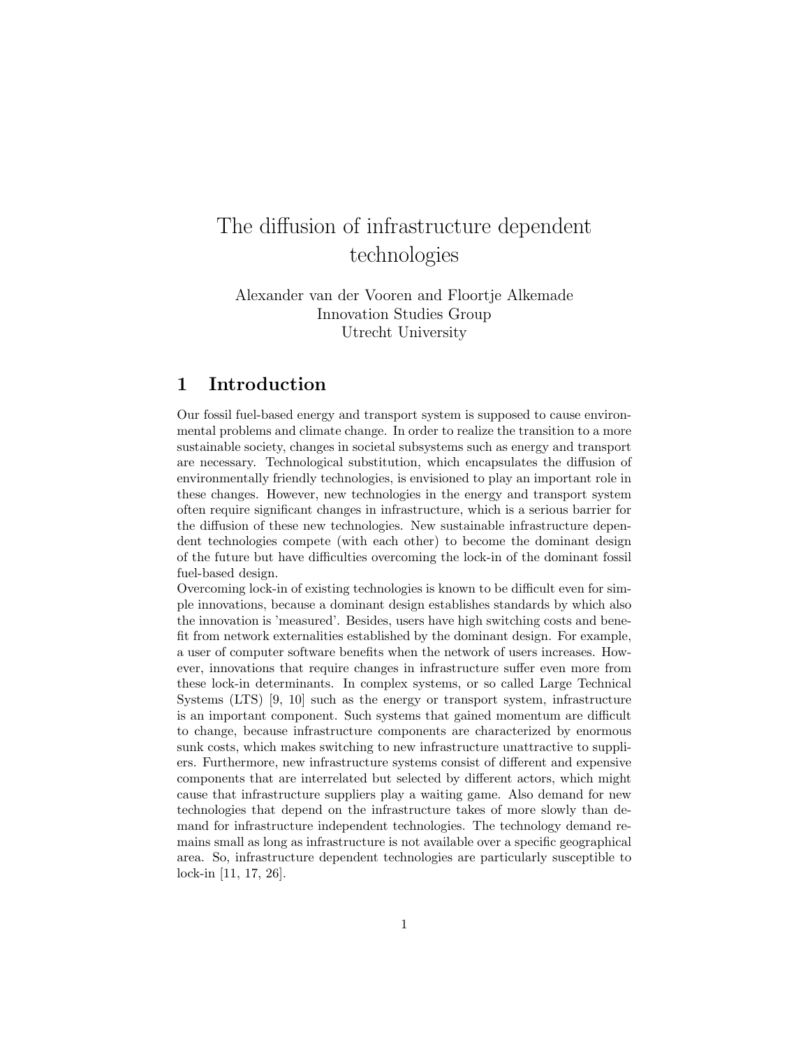# The diffusion of infrastructure dependent technologies

Alexander van der Vooren and Floortje Alkemade Innovation Studies Group Utrecht University

# 1 Introduction

Our fossil fuel-based energy and transport system is supposed to cause environmental problems and climate change. In order to realize the transition to a more sustainable society, changes in societal subsystems such as energy and transport are necessary. Technological substitution, which encapsulates the diffusion of environmentally friendly technologies, is envisioned to play an important role in these changes. However, new technologies in the energy and transport system often require significant changes in infrastructure, which is a serious barrier for the diffusion of these new technologies. New sustainable infrastructure dependent technologies compete (with each other) to become the dominant design of the future but have difficulties overcoming the lock-in of the dominant fossil fuel-based design.

Overcoming lock-in of existing technologies is known to be difficult even for simple innovations, because a dominant design establishes standards by which also the innovation is 'measured'. Besides, users have high switching costs and benefit from network externalities established by the dominant design. For example, a user of computer software benefits when the network of users increases. However, innovations that require changes in infrastructure suffer even more from these lock-in determinants. In complex systems, or so called Large Technical Systems (LTS) [9, 10] such as the energy or transport system, infrastructure is an important component. Such systems that gained momentum are difficult to change, because infrastructure components are characterized by enormous sunk costs, which makes switching to new infrastructure unattractive to suppliers. Furthermore, new infrastructure systems consist of different and expensive components that are interrelated but selected by different actors, which might cause that infrastructure suppliers play a waiting game. Also demand for new technologies that depend on the infrastructure takes of more slowly than demand for infrastructure independent technologies. The technology demand remains small as long as infrastructure is not available over a specific geographical area. So, infrastructure dependent technologies are particularly susceptible to lock-in [11, 17, 26].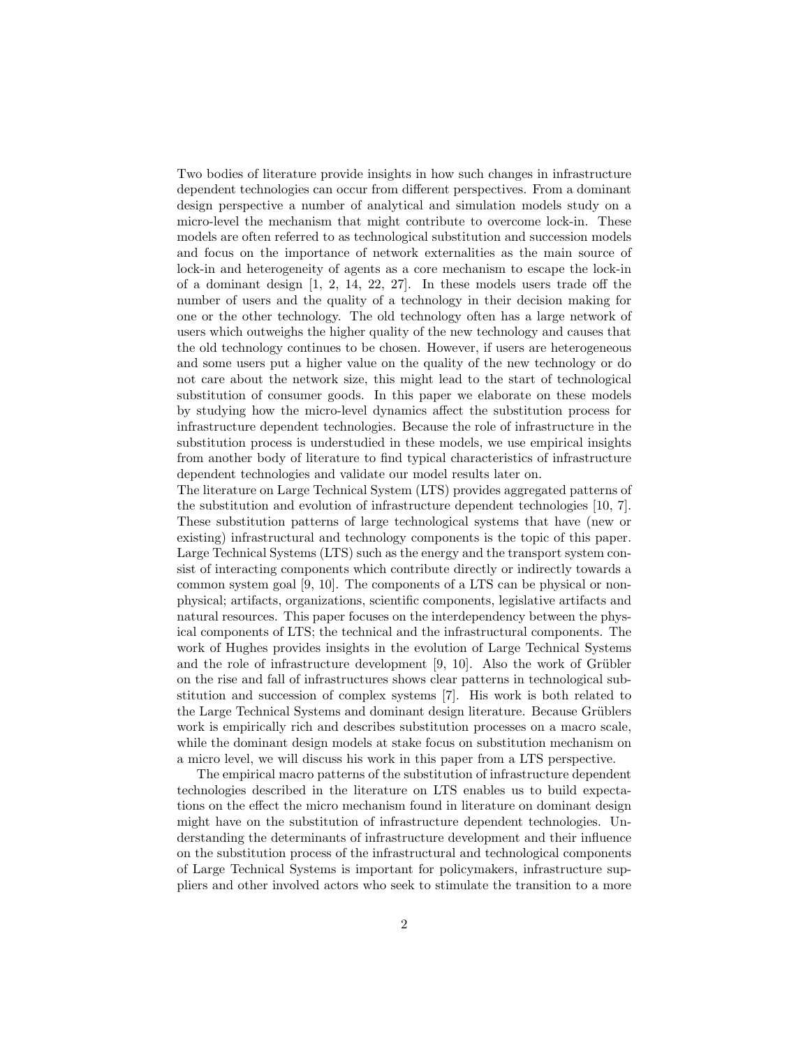Two bodies of literature provide insights in how such changes in infrastructure dependent technologies can occur from different perspectives. From a dominant design perspective a number of analytical and simulation models study on a micro-level the mechanism that might contribute to overcome lock-in. These models are often referred to as technological substitution and succession models and focus on the importance of network externalities as the main source of lock-in and heterogeneity of agents as a core mechanism to escape the lock-in of a dominant design [1, 2, 14, 22, 27]. In these models users trade off the number of users and the quality of a technology in their decision making for one or the other technology. The old technology often has a large network of users which outweighs the higher quality of the new technology and causes that the old technology continues to be chosen. However, if users are heterogeneous and some users put a higher value on the quality of the new technology or do not care about the network size, this might lead to the start of technological substitution of consumer goods. In this paper we elaborate on these models by studying how the micro-level dynamics affect the substitution process for infrastructure dependent technologies. Because the role of infrastructure in the substitution process is understudied in these models, we use empirical insights from another body of literature to find typical characteristics of infrastructure dependent technologies and validate our model results later on.

The literature on Large Technical System (LTS) provides aggregated patterns of the substitution and evolution of infrastructure dependent technologies [10, 7]. These substitution patterns of large technological systems that have (new or existing) infrastructural and technology components is the topic of this paper. Large Technical Systems (LTS) such as the energy and the transport system consist of interacting components which contribute directly or indirectly towards a common system goal [9, 10]. The components of a LTS can be physical or nonphysical; artifacts, organizations, scientific components, legislative artifacts and natural resources. This paper focuses on the interdependency between the physical components of LTS; the technical and the infrastructural components. The work of Hughes provides insights in the evolution of Large Technical Systems and the role of infrastructure development  $[9, 10]$ . Also the work of Grübler on the rise and fall of infrastructures shows clear patterns in technological substitution and succession of complex systems [7]. His work is both related to the Large Technical Systems and dominant design literature. Because Grüblers work is empirically rich and describes substitution processes on a macro scale, while the dominant design models at stake focus on substitution mechanism on a micro level, we will discuss his work in this paper from a LTS perspective.

The empirical macro patterns of the substitution of infrastructure dependent technologies described in the literature on LTS enables us to build expectations on the effect the micro mechanism found in literature on dominant design might have on the substitution of infrastructure dependent technologies. Understanding the determinants of infrastructure development and their influence on the substitution process of the infrastructural and technological components of Large Technical Systems is important for policymakers, infrastructure suppliers and other involved actors who seek to stimulate the transition to a more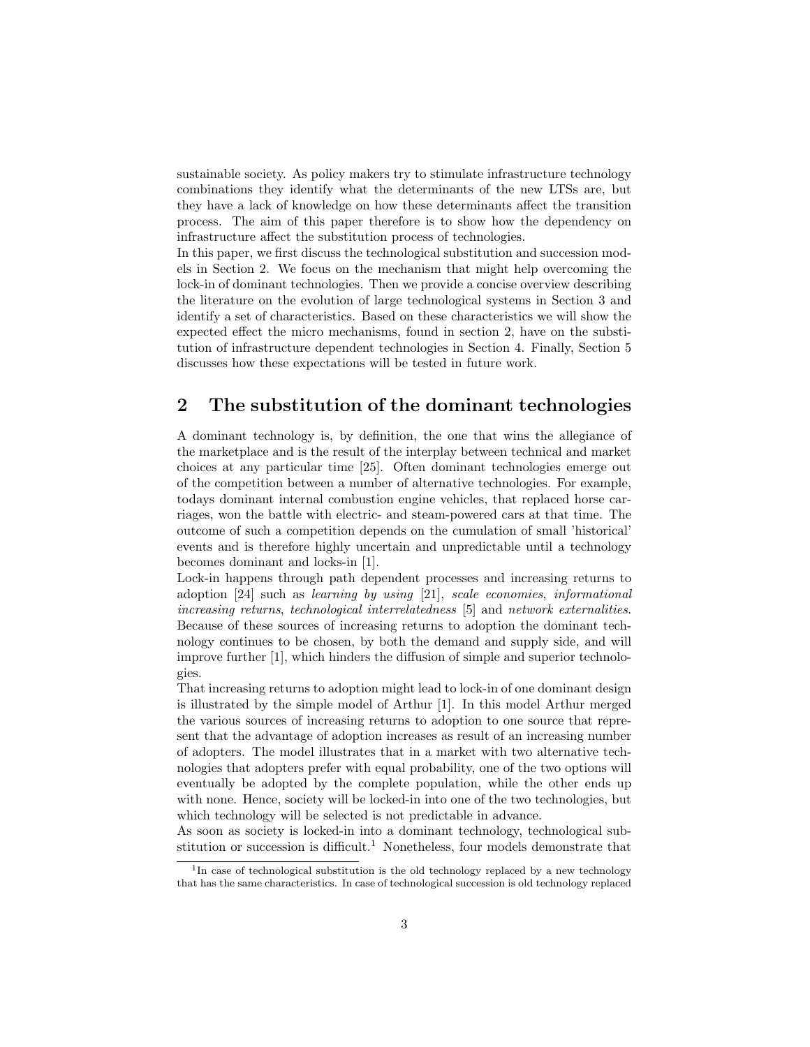sustainable society. As policy makers try to stimulate infrastructure technology combinations they identify what the determinants of the new LTSs are, but they have a lack of knowledge on how these determinants affect the transition process. The aim of this paper therefore is to show how the dependency on infrastructure affect the substitution process of technologies.

In this paper, we first discuss the technological substitution and succession models in Section 2. We focus on the mechanism that might help overcoming the lock-in of dominant technologies. Then we provide a concise overview describing the literature on the evolution of large technological systems in Section 3 and identify a set of characteristics. Based on these characteristics we will show the expected effect the micro mechanisms, found in section 2, have on the substitution of infrastructure dependent technologies in Section 4. Finally, Section 5 discusses how these expectations will be tested in future work.

# 2 The substitution of the dominant technologies

A dominant technology is, by definition, the one that wins the allegiance of the marketplace and is the result of the interplay between technical and market choices at any particular time [25]. Often dominant technologies emerge out of the competition between a number of alternative technologies. For example, todays dominant internal combustion engine vehicles, that replaced horse carriages, won the battle with electric- and steam-powered cars at that time. The outcome of such a competition depends on the cumulation of small 'historical' events and is therefore highly uncertain and unpredictable until a technology becomes dominant and locks-in [1].

Lock-in happens through path dependent processes and increasing returns to adoption [24] such as learning by using [21], scale economies, informational increasing returns, technological interrelatedness [5] and network externalities. Because of these sources of increasing returns to adoption the dominant technology continues to be chosen, by both the demand and supply side, and will improve further [1], which hinders the diffusion of simple and superior technologies.

That increasing returns to adoption might lead to lock-in of one dominant design is illustrated by the simple model of Arthur [1]. In this model Arthur merged the various sources of increasing returns to adoption to one source that represent that the advantage of adoption increases as result of an increasing number of adopters. The model illustrates that in a market with two alternative technologies that adopters prefer with equal probability, one of the two options will eventually be adopted by the complete population, while the other ends up with none. Hence, society will be locked-in into one of the two technologies, but which technology will be selected is not predictable in advance.

As soon as society is locked-in into a dominant technology, technological substitution or succession is difficult.<sup>1</sup> Nonetheless, four models demonstrate that

<sup>&</sup>lt;sup>1</sup>In case of technological substitution is the old technology replaced by a new technology that has the same characteristics. In case of technological succession is old technology replaced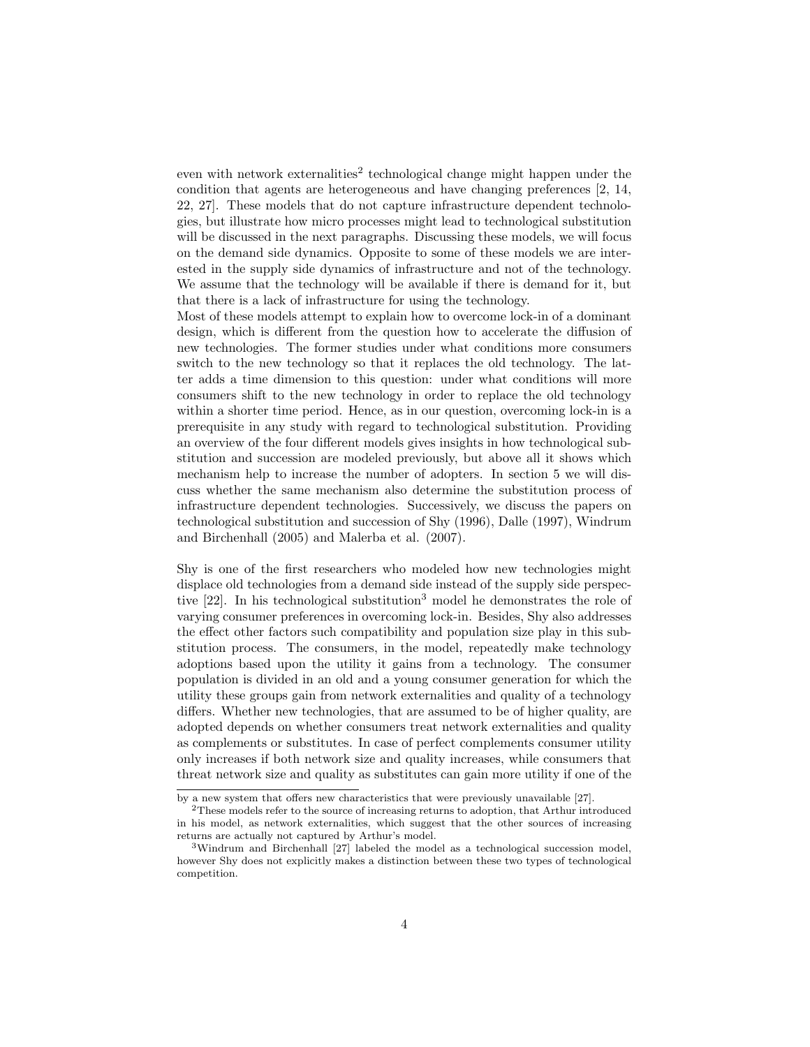even with network externalities<sup>2</sup> technological change might happen under the condition that agents are heterogeneous and have changing preferences [2, 14, 22, 27]. These models that do not capture infrastructure dependent technologies, but illustrate how micro processes might lead to technological substitution will be discussed in the next paragraphs. Discussing these models, we will focus on the demand side dynamics. Opposite to some of these models we are interested in the supply side dynamics of infrastructure and not of the technology. We assume that the technology will be available if there is demand for it, but that there is a lack of infrastructure for using the technology.

Most of these models attempt to explain how to overcome lock-in of a dominant design, which is different from the question how to accelerate the diffusion of new technologies. The former studies under what conditions more consumers switch to the new technology so that it replaces the old technology. The latter adds a time dimension to this question: under what conditions will more consumers shift to the new technology in order to replace the old technology within a shorter time period. Hence, as in our question, overcoming lock-in is a prerequisite in any study with regard to technological substitution. Providing an overview of the four different models gives insights in how technological substitution and succession are modeled previously, but above all it shows which mechanism help to increase the number of adopters. In section 5 we will discuss whether the same mechanism also determine the substitution process of infrastructure dependent technologies. Successively, we discuss the papers on technological substitution and succession of Shy (1996), Dalle (1997), Windrum and Birchenhall (2005) and Malerba et al. (2007).

Shy is one of the first researchers who modeled how new technologies might displace old technologies from a demand side instead of the supply side perspective  $[22]$ . In his technological substitution<sup>3</sup> model he demonstrates the role of varying consumer preferences in overcoming lock-in. Besides, Shy also addresses the effect other factors such compatibility and population size play in this substitution process. The consumers, in the model, repeatedly make technology adoptions based upon the utility it gains from a technology. The consumer population is divided in an old and a young consumer generation for which the utility these groups gain from network externalities and quality of a technology differs. Whether new technologies, that are assumed to be of higher quality, are adopted depends on whether consumers treat network externalities and quality as complements or substitutes. In case of perfect complements consumer utility only increases if both network size and quality increases, while consumers that threat network size and quality as substitutes can gain more utility if one of the

by a new system that offers new characteristics that were previously unavailable [27].

<sup>&</sup>lt;sup>2</sup>These models refer to the source of increasing returns to adoption, that Arthur introduced in his model, as network externalities, which suggest that the other sources of increasing returns are actually not captured by Arthur's model.

<sup>3</sup>Windrum and Birchenhall [27] labeled the model as a technological succession model, however Shy does not explicitly makes a distinction between these two types of technological competition.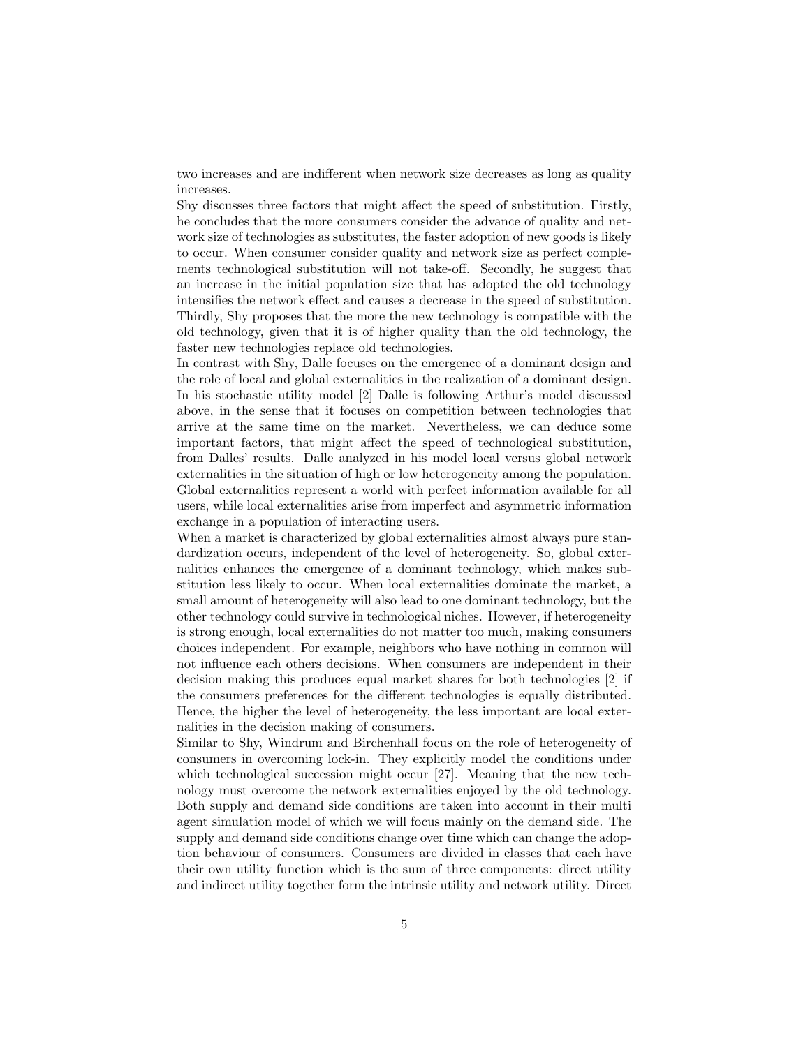two increases and are indifferent when network size decreases as long as quality increases.

Shy discusses three factors that might affect the speed of substitution. Firstly, he concludes that the more consumers consider the advance of quality and network size of technologies as substitutes, the faster adoption of new goods is likely to occur. When consumer consider quality and network size as perfect complements technological substitution will not take-off. Secondly, he suggest that an increase in the initial population size that has adopted the old technology intensifies the network effect and causes a decrease in the speed of substitution. Thirdly, Shy proposes that the more the new technology is compatible with the old technology, given that it is of higher quality than the old technology, the faster new technologies replace old technologies.

In contrast with Shy, Dalle focuses on the emergence of a dominant design and the role of local and global externalities in the realization of a dominant design. In his stochastic utility model [2] Dalle is following Arthur's model discussed above, in the sense that it focuses on competition between technologies that arrive at the same time on the market. Nevertheless, we can deduce some important factors, that might affect the speed of technological substitution, from Dalles' results. Dalle analyzed in his model local versus global network externalities in the situation of high or low heterogeneity among the population. Global externalities represent a world with perfect information available for all users, while local externalities arise from imperfect and asymmetric information exchange in a population of interacting users.

When a market is characterized by global externalities almost always pure standardization occurs, independent of the level of heterogeneity. So, global externalities enhances the emergence of a dominant technology, which makes substitution less likely to occur. When local externalities dominate the market, a small amount of heterogeneity will also lead to one dominant technology, but the other technology could survive in technological niches. However, if heterogeneity is strong enough, local externalities do not matter too much, making consumers choices independent. For example, neighbors who have nothing in common will not influence each others decisions. When consumers are independent in their decision making this produces equal market shares for both technologies [2] if the consumers preferences for the different technologies is equally distributed. Hence, the higher the level of heterogeneity, the less important are local externalities in the decision making of consumers.

Similar to Shy, Windrum and Birchenhall focus on the role of heterogeneity of consumers in overcoming lock-in. They explicitly model the conditions under which technological succession might occur [27]. Meaning that the new technology must overcome the network externalities enjoyed by the old technology. Both supply and demand side conditions are taken into account in their multi agent simulation model of which we will focus mainly on the demand side. The supply and demand side conditions change over time which can change the adoption behaviour of consumers. Consumers are divided in classes that each have their own utility function which is the sum of three components: direct utility and indirect utility together form the intrinsic utility and network utility. Direct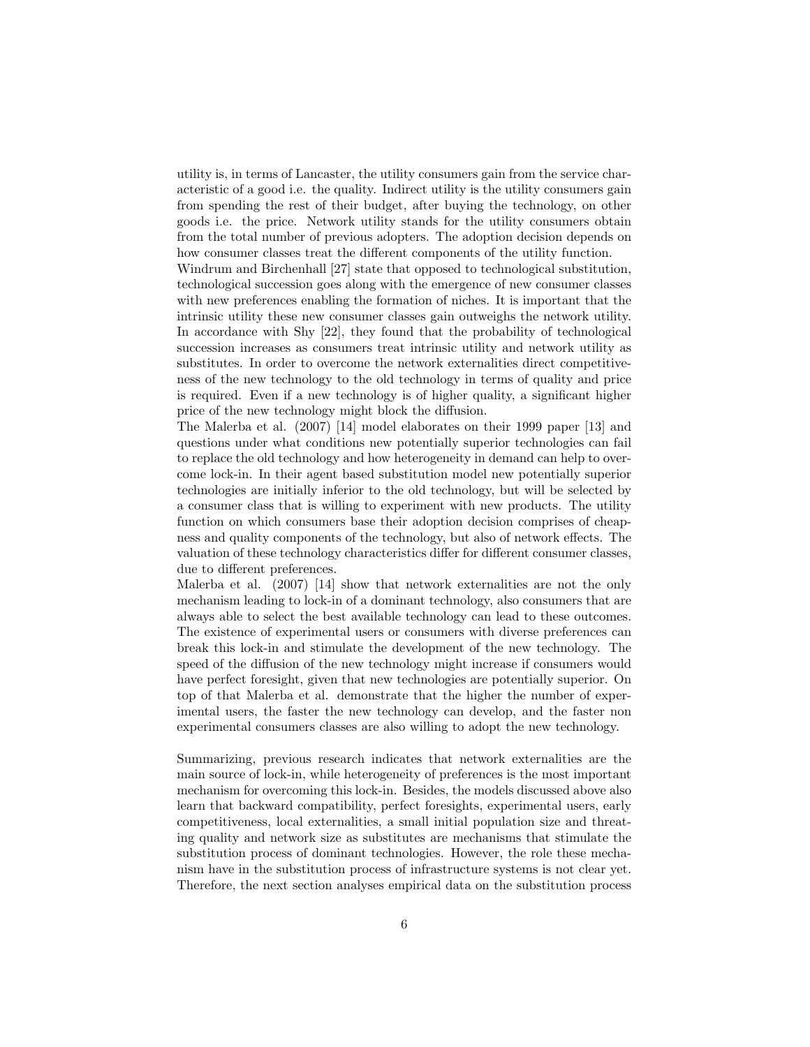utility is, in terms of Lancaster, the utility consumers gain from the service characteristic of a good i.e. the quality. Indirect utility is the utility consumers gain from spending the rest of their budget, after buying the technology, on other goods i.e. the price. Network utility stands for the utility consumers obtain from the total number of previous adopters. The adoption decision depends on how consumer classes treat the different components of the utility function.

Windrum and Birchenhall [27] state that opposed to technological substitution, technological succession goes along with the emergence of new consumer classes with new preferences enabling the formation of niches. It is important that the intrinsic utility these new consumer classes gain outweighs the network utility. In accordance with Shy [22], they found that the probability of technological succession increases as consumers treat intrinsic utility and network utility as substitutes. In order to overcome the network externalities direct competitiveness of the new technology to the old technology in terms of quality and price is required. Even if a new technology is of higher quality, a significant higher price of the new technology might block the diffusion.

The Malerba et al. (2007) [14] model elaborates on their 1999 paper [13] and questions under what conditions new potentially superior technologies can fail to replace the old technology and how heterogeneity in demand can help to overcome lock-in. In their agent based substitution model new potentially superior technologies are initially inferior to the old technology, but will be selected by a consumer class that is willing to experiment with new products. The utility function on which consumers base their adoption decision comprises of cheapness and quality components of the technology, but also of network effects. The valuation of these technology characteristics differ for different consumer classes, due to different preferences.

Malerba et al. (2007) [14] show that network externalities are not the only mechanism leading to lock-in of a dominant technology, also consumers that are always able to select the best available technology can lead to these outcomes. The existence of experimental users or consumers with diverse preferences can break this lock-in and stimulate the development of the new technology. The speed of the diffusion of the new technology might increase if consumers would have perfect foresight, given that new technologies are potentially superior. On top of that Malerba et al. demonstrate that the higher the number of experimental users, the faster the new technology can develop, and the faster non experimental consumers classes are also willing to adopt the new technology.

Summarizing, previous research indicates that network externalities are the main source of lock-in, while heterogeneity of preferences is the most important mechanism for overcoming this lock-in. Besides, the models discussed above also learn that backward compatibility, perfect foresights, experimental users, early competitiveness, local externalities, a small initial population size and threating quality and network size as substitutes are mechanisms that stimulate the substitution process of dominant technologies. However, the role these mechanism have in the substitution process of infrastructure systems is not clear yet. Therefore, the next section analyses empirical data on the substitution process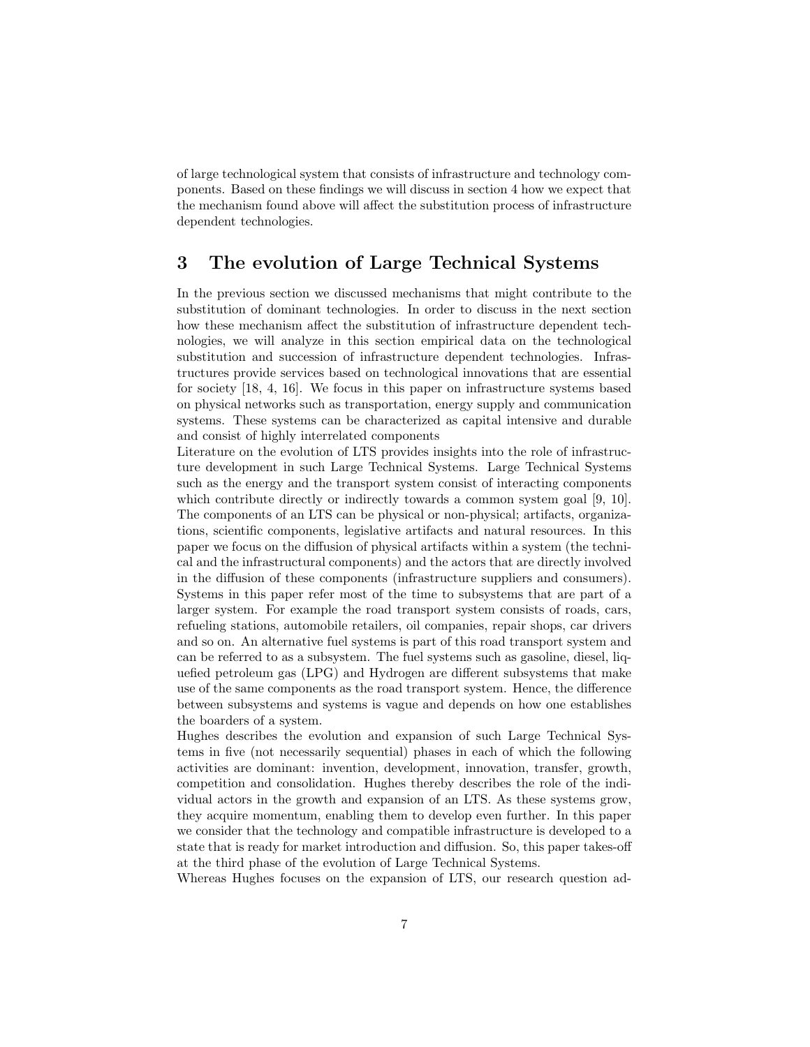of large technological system that consists of infrastructure and technology components. Based on these findings we will discuss in section 4 how we expect that the mechanism found above will affect the substitution process of infrastructure dependent technologies.

# 3 The evolution of Large Technical Systems

In the previous section we discussed mechanisms that might contribute to the substitution of dominant technologies. In order to discuss in the next section how these mechanism affect the substitution of infrastructure dependent technologies, we will analyze in this section empirical data on the technological substitution and succession of infrastructure dependent technologies. Infrastructures provide services based on technological innovations that are essential for society [18, 4, 16]. We focus in this paper on infrastructure systems based on physical networks such as transportation, energy supply and communication systems. These systems can be characterized as capital intensive and durable and consist of highly interrelated components

Literature on the evolution of LTS provides insights into the role of infrastructure development in such Large Technical Systems. Large Technical Systems such as the energy and the transport system consist of interacting components which contribute directly or indirectly towards a common system goal [9, 10]. The components of an LTS can be physical or non-physical; artifacts, organizations, scientific components, legislative artifacts and natural resources. In this paper we focus on the diffusion of physical artifacts within a system (the technical and the infrastructural components) and the actors that are directly involved in the diffusion of these components (infrastructure suppliers and consumers). Systems in this paper refer most of the time to subsystems that are part of a larger system. For example the road transport system consists of roads, cars, refueling stations, automobile retailers, oil companies, repair shops, car drivers and so on. An alternative fuel systems is part of this road transport system and can be referred to as a subsystem. The fuel systems such as gasoline, diesel, liquefied petroleum gas (LPG) and Hydrogen are different subsystems that make use of the same components as the road transport system. Hence, the difference between subsystems and systems is vague and depends on how one establishes the boarders of a system.

Hughes describes the evolution and expansion of such Large Technical Systems in five (not necessarily sequential) phases in each of which the following activities are dominant: invention, development, innovation, transfer, growth, competition and consolidation. Hughes thereby describes the role of the individual actors in the growth and expansion of an LTS. As these systems grow, they acquire momentum, enabling them to develop even further. In this paper we consider that the technology and compatible infrastructure is developed to a state that is ready for market introduction and diffusion. So, this paper takes-off at the third phase of the evolution of Large Technical Systems.

Whereas Hughes focuses on the expansion of LTS, our research question ad-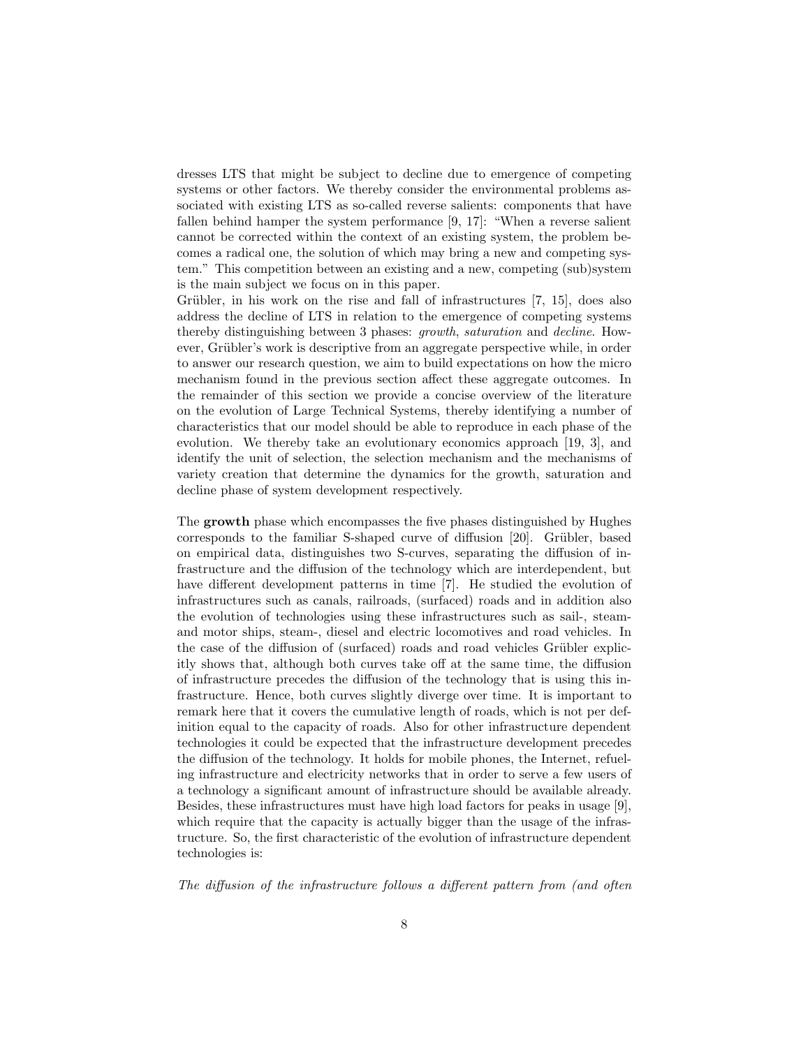dresses LTS that might be subject to decline due to emergence of competing systems or other factors. We thereby consider the environmental problems associated with existing LTS as so-called reverse salients: components that have fallen behind hamper the system performance [9, 17]: "When a reverse salient cannot be corrected within the context of an existing system, the problem becomes a radical one, the solution of which may bring a new and competing system." This competition between an existing and a new, competing (sub)system is the main subject we focus on in this paper.

Grübler, in his work on the rise and fall of infrastructures  $[7, 15]$ , does also address the decline of LTS in relation to the emergence of competing systems thereby distinguishing between 3 phases: growth, saturation and decline. However, Grübler's work is descriptive from an aggregate perspective while, in order to answer our research question, we aim to build expectations on how the micro mechanism found in the previous section affect these aggregate outcomes. In the remainder of this section we provide a concise overview of the literature on the evolution of Large Technical Systems, thereby identifying a number of characteristics that our model should be able to reproduce in each phase of the evolution. We thereby take an evolutionary economics approach [19, 3], and identify the unit of selection, the selection mechanism and the mechanisms of variety creation that determine the dynamics for the growth, saturation and decline phase of system development respectively.

The growth phase which encompasses the five phases distinguished by Hughes corresponds to the familiar S-shaped curve of diffusion [20]. Grübler, based on empirical data, distinguishes two S-curves, separating the diffusion of infrastructure and the diffusion of the technology which are interdependent, but have different development patterns in time [7]. He studied the evolution of infrastructures such as canals, railroads, (surfaced) roads and in addition also the evolution of technologies using these infrastructures such as sail-, steamand motor ships, steam-, diesel and electric locomotives and road vehicles. In the case of the diffusion of (surfaced) roads and road vehicles Grübler explicitly shows that, although both curves take off at the same time, the diffusion of infrastructure precedes the diffusion of the technology that is using this infrastructure. Hence, both curves slightly diverge over time. It is important to remark here that it covers the cumulative length of roads, which is not per definition equal to the capacity of roads. Also for other infrastructure dependent technologies it could be expected that the infrastructure development precedes the diffusion of the technology. It holds for mobile phones, the Internet, refueling infrastructure and electricity networks that in order to serve a few users of a technology a significant amount of infrastructure should be available already. Besides, these infrastructures must have high load factors for peaks in usage [9], which require that the capacity is actually bigger than the usage of the infrastructure. So, the first characteristic of the evolution of infrastructure dependent technologies is:

The diffusion of the infrastructure follows a different pattern from (and often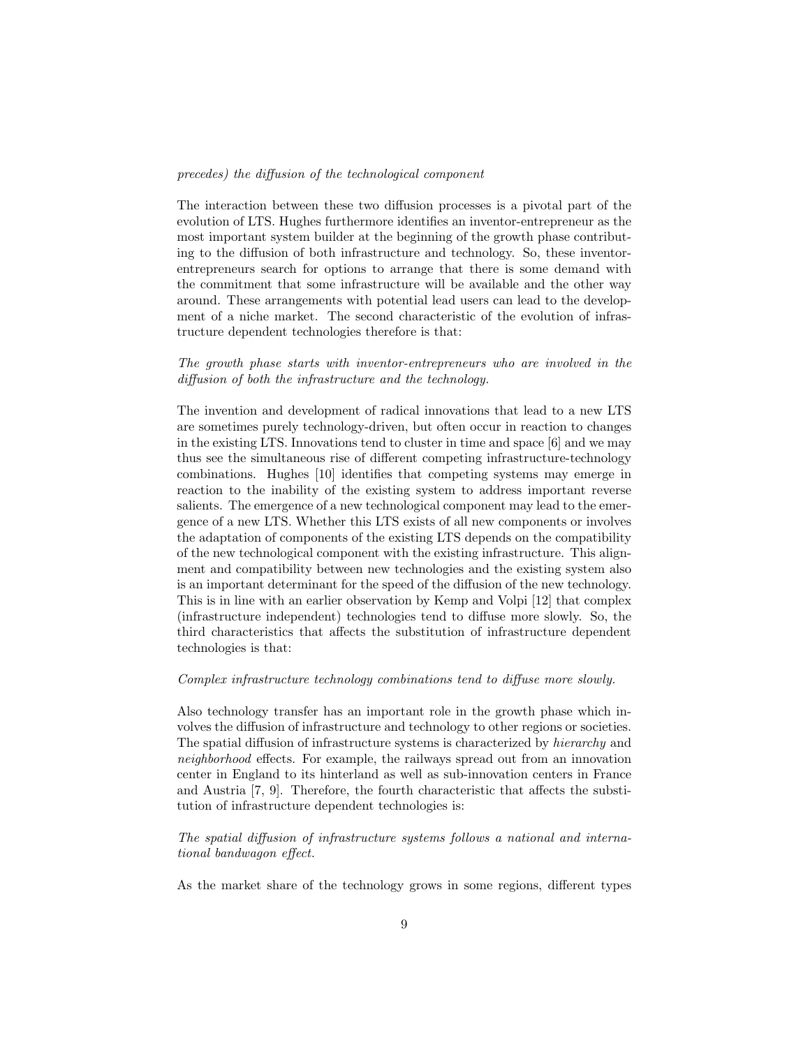#### precedes) the diffusion of the technological component

The interaction between these two diffusion processes is a pivotal part of the evolution of LTS. Hughes furthermore identifies an inventor-entrepreneur as the most important system builder at the beginning of the growth phase contributing to the diffusion of both infrastructure and technology. So, these inventorentrepreneurs search for options to arrange that there is some demand with the commitment that some infrastructure will be available and the other way around. These arrangements with potential lead users can lead to the development of a niche market. The second characteristic of the evolution of infrastructure dependent technologies therefore is that:

### The growth phase starts with inventor-entrepreneurs who are involved in the diffusion of both the infrastructure and the technology.

The invention and development of radical innovations that lead to a new LTS are sometimes purely technology-driven, but often occur in reaction to changes in the existing LTS. Innovations tend to cluster in time and space [6] and we may thus see the simultaneous rise of different competing infrastructure-technology combinations. Hughes [10] identifies that competing systems may emerge in reaction to the inability of the existing system to address important reverse salients. The emergence of a new technological component may lead to the emergence of a new LTS. Whether this LTS exists of all new components or involves the adaptation of components of the existing LTS depends on the compatibility of the new technological component with the existing infrastructure. This alignment and compatibility between new technologies and the existing system also is an important determinant for the speed of the diffusion of the new technology. This is in line with an earlier observation by Kemp and Volpi [12] that complex (infrastructure independent) technologies tend to diffuse more slowly. So, the third characteristics that affects the substitution of infrastructure dependent technologies is that:

#### Complex infrastructure technology combinations tend to diffuse more slowly.

Also technology transfer has an important role in the growth phase which involves the diffusion of infrastructure and technology to other regions or societies. The spatial diffusion of infrastructure systems is characterized by hierarchy and neighborhood effects. For example, the railways spread out from an innovation center in England to its hinterland as well as sub-innovation centers in France and Austria [7, 9]. Therefore, the fourth characteristic that affects the substitution of infrastructure dependent technologies is:

### The spatial diffusion of infrastructure systems follows a national and international bandwagon effect.

As the market share of the technology grows in some regions, different types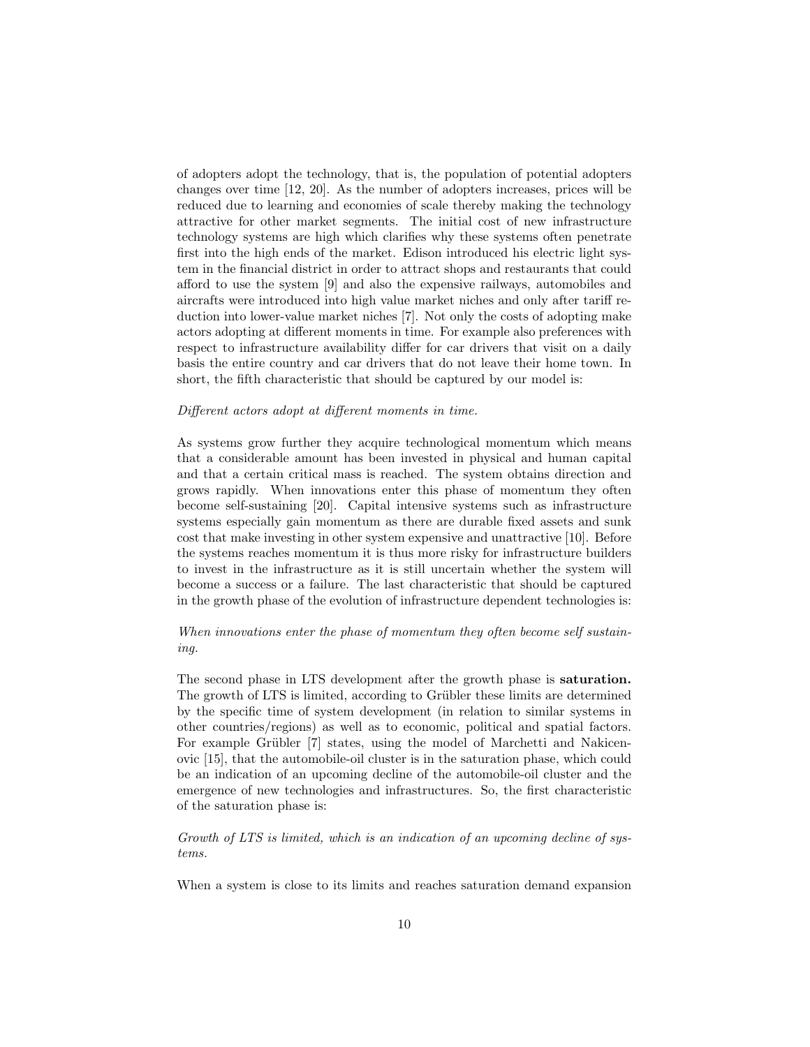of adopters adopt the technology, that is, the population of potential adopters changes over time [12, 20]. As the number of adopters increases, prices will be reduced due to learning and economies of scale thereby making the technology attractive for other market segments. The initial cost of new infrastructure technology systems are high which clarifies why these systems often penetrate first into the high ends of the market. Edison introduced his electric light system in the financial district in order to attract shops and restaurants that could afford to use the system [9] and also the expensive railways, automobiles and aircrafts were introduced into high value market niches and only after tariff reduction into lower-value market niches [7]. Not only the costs of adopting make actors adopting at different moments in time. For example also preferences with respect to infrastructure availability differ for car drivers that visit on a daily basis the entire country and car drivers that do not leave their home town. In short, the fifth characteristic that should be captured by our model is:

#### Different actors adopt at different moments in time.

As systems grow further they acquire technological momentum which means that a considerable amount has been invested in physical and human capital and that a certain critical mass is reached. The system obtains direction and grows rapidly. When innovations enter this phase of momentum they often become self-sustaining [20]. Capital intensive systems such as infrastructure systems especially gain momentum as there are durable fixed assets and sunk cost that make investing in other system expensive and unattractive [10]. Before the systems reaches momentum it is thus more risky for infrastructure builders to invest in the infrastructure as it is still uncertain whether the system will become a success or a failure. The last characteristic that should be captured in the growth phase of the evolution of infrastructure dependent technologies is:

### When innovations enter the phase of momentum they often become self sustaining.

The second phase in LTS development after the growth phase is saturation. The growth of LTS is limited, according to Grübler these limits are determined by the specific time of system development (in relation to similar systems in other countries/regions) as well as to economic, political and spatial factors. For example Grübler [7] states, using the model of Marchetti and Nakicenovic [15], that the automobile-oil cluster is in the saturation phase, which could be an indication of an upcoming decline of the automobile-oil cluster and the emergence of new technologies and infrastructures. So, the first characteristic of the saturation phase is:

Growth of LTS is limited, which is an indication of an upcoming decline of systems.

When a system is close to its limits and reaches saturation demand expansion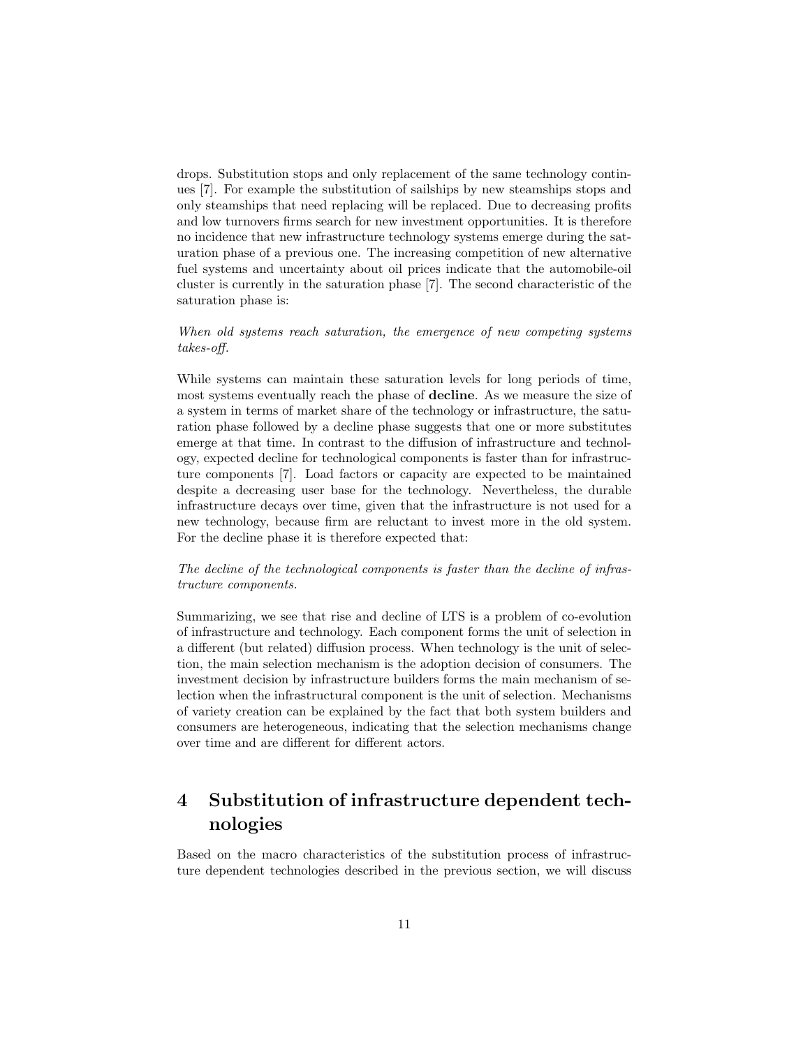drops. Substitution stops and only replacement of the same technology continues [7]. For example the substitution of sailships by new steamships stops and only steamships that need replacing will be replaced. Due to decreasing profits and low turnovers firms search for new investment opportunities. It is therefore no incidence that new infrastructure technology systems emerge during the saturation phase of a previous one. The increasing competition of new alternative fuel systems and uncertainty about oil prices indicate that the automobile-oil cluster is currently in the saturation phase [7]. The second characteristic of the saturation phase is:

### When old systems reach saturation, the emergence of new competing systems takes-off.

While systems can maintain these saturation levels for long periods of time, most systems eventually reach the phase of decline. As we measure the size of a system in terms of market share of the technology or infrastructure, the saturation phase followed by a decline phase suggests that one or more substitutes emerge at that time. In contrast to the diffusion of infrastructure and technology, expected decline for technological components is faster than for infrastructure components [7]. Load factors or capacity are expected to be maintained despite a decreasing user base for the technology. Nevertheless, the durable infrastructure decays over time, given that the infrastructure is not used for a new technology, because firm are reluctant to invest more in the old system. For the decline phase it is therefore expected that:

### The decline of the technological components is faster than the decline of infrastructure components.

Summarizing, we see that rise and decline of LTS is a problem of co-evolution of infrastructure and technology. Each component forms the unit of selection in a different (but related) diffusion process. When technology is the unit of selection, the main selection mechanism is the adoption decision of consumers. The investment decision by infrastructure builders forms the main mechanism of selection when the infrastructural component is the unit of selection. Mechanisms of variety creation can be explained by the fact that both system builders and consumers are heterogeneous, indicating that the selection mechanisms change over time and are different for different actors.

# 4 Substitution of infrastructure dependent technologies

Based on the macro characteristics of the substitution process of infrastructure dependent technologies described in the previous section, we will discuss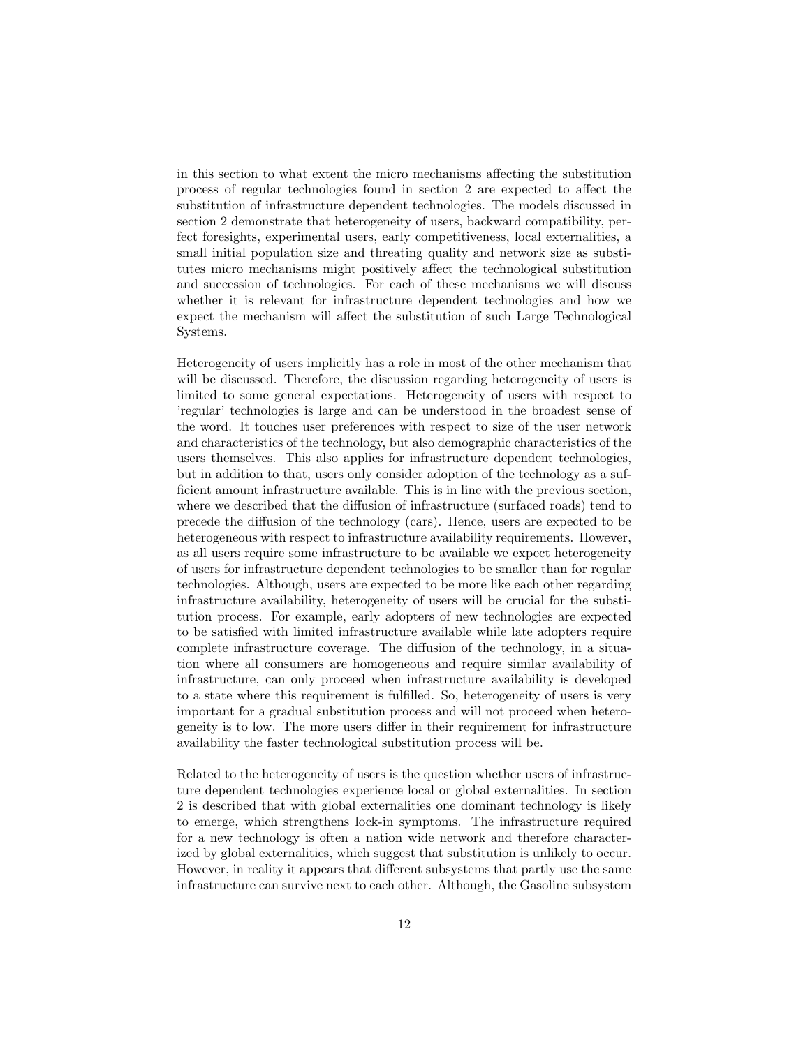in this section to what extent the micro mechanisms affecting the substitution process of regular technologies found in section 2 are expected to affect the substitution of infrastructure dependent technologies. The models discussed in section 2 demonstrate that heterogeneity of users, backward compatibility, perfect foresights, experimental users, early competitiveness, local externalities, a small initial population size and threating quality and network size as substitutes micro mechanisms might positively affect the technological substitution and succession of technologies. For each of these mechanisms we will discuss whether it is relevant for infrastructure dependent technologies and how we expect the mechanism will affect the substitution of such Large Technological Systems.

Heterogeneity of users implicitly has a role in most of the other mechanism that will be discussed. Therefore, the discussion regarding heterogeneity of users is limited to some general expectations. Heterogeneity of users with respect to 'regular' technologies is large and can be understood in the broadest sense of the word. It touches user preferences with respect to size of the user network and characteristics of the technology, but also demographic characteristics of the users themselves. This also applies for infrastructure dependent technologies, but in addition to that, users only consider adoption of the technology as a sufficient amount infrastructure available. This is in line with the previous section, where we described that the diffusion of infrastructure (surfaced roads) tend to precede the diffusion of the technology (cars). Hence, users are expected to be heterogeneous with respect to infrastructure availability requirements. However, as all users require some infrastructure to be available we expect heterogeneity of users for infrastructure dependent technologies to be smaller than for regular technologies. Although, users are expected to be more like each other regarding infrastructure availability, heterogeneity of users will be crucial for the substitution process. For example, early adopters of new technologies are expected to be satisfied with limited infrastructure available while late adopters require complete infrastructure coverage. The diffusion of the technology, in a situation where all consumers are homogeneous and require similar availability of infrastructure, can only proceed when infrastructure availability is developed to a state where this requirement is fulfilled. So, heterogeneity of users is very important for a gradual substitution process and will not proceed when heterogeneity is to low. The more users differ in their requirement for infrastructure availability the faster technological substitution process will be.

Related to the heterogeneity of users is the question whether users of infrastructure dependent technologies experience local or global externalities. In section 2 is described that with global externalities one dominant technology is likely to emerge, which strengthens lock-in symptoms. The infrastructure required for a new technology is often a nation wide network and therefore characterized by global externalities, which suggest that substitution is unlikely to occur. However, in reality it appears that different subsystems that partly use the same infrastructure can survive next to each other. Although, the Gasoline subsystem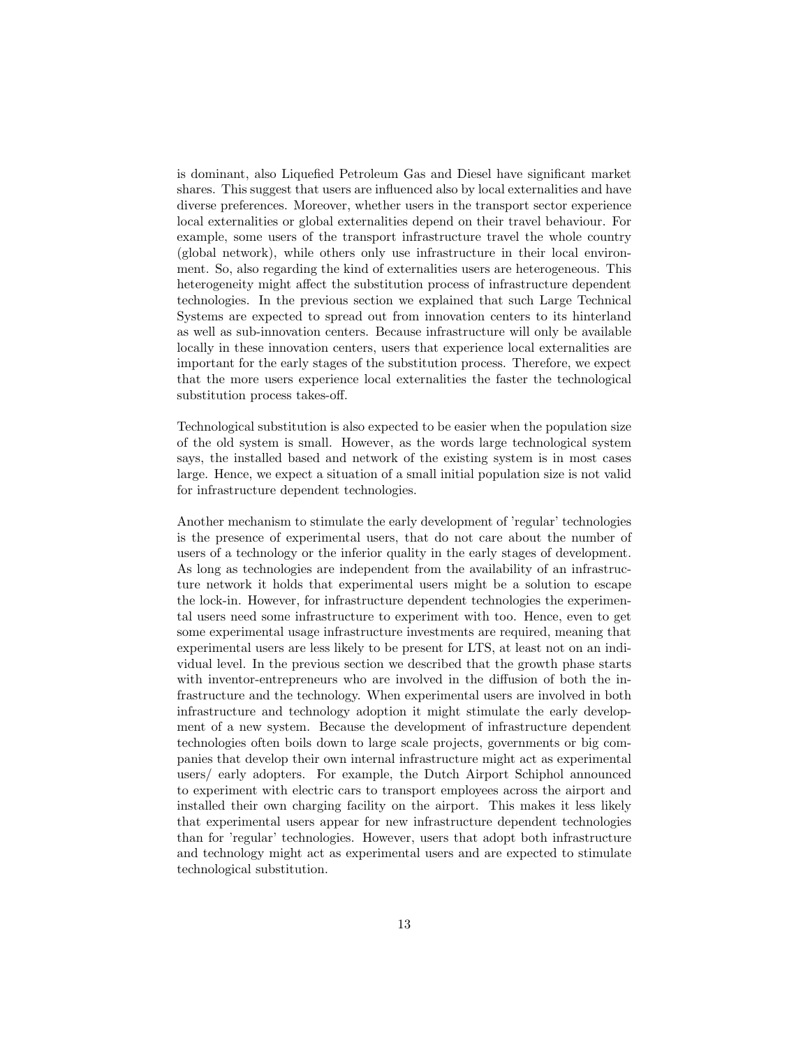is dominant, also Liquefied Petroleum Gas and Diesel have significant market shares. This suggest that users are influenced also by local externalities and have diverse preferences. Moreover, whether users in the transport sector experience local externalities or global externalities depend on their travel behaviour. For example, some users of the transport infrastructure travel the whole country (global network), while others only use infrastructure in their local environment. So, also regarding the kind of externalities users are heterogeneous. This heterogeneity might affect the substitution process of infrastructure dependent technologies. In the previous section we explained that such Large Technical Systems are expected to spread out from innovation centers to its hinterland as well as sub-innovation centers. Because infrastructure will only be available locally in these innovation centers, users that experience local externalities are important for the early stages of the substitution process. Therefore, we expect that the more users experience local externalities the faster the technological substitution process takes-off.

Technological substitution is also expected to be easier when the population size of the old system is small. However, as the words large technological system says, the installed based and network of the existing system is in most cases large. Hence, we expect a situation of a small initial population size is not valid for infrastructure dependent technologies.

Another mechanism to stimulate the early development of 'regular' technologies is the presence of experimental users, that do not care about the number of users of a technology or the inferior quality in the early stages of development. As long as technologies are independent from the availability of an infrastructure network it holds that experimental users might be a solution to escape the lock-in. However, for infrastructure dependent technologies the experimental users need some infrastructure to experiment with too. Hence, even to get some experimental usage infrastructure investments are required, meaning that experimental users are less likely to be present for LTS, at least not on an individual level. In the previous section we described that the growth phase starts with inventor-entrepreneurs who are involved in the diffusion of both the infrastructure and the technology. When experimental users are involved in both infrastructure and technology adoption it might stimulate the early development of a new system. Because the development of infrastructure dependent technologies often boils down to large scale projects, governments or big companies that develop their own internal infrastructure might act as experimental users/ early adopters. For example, the Dutch Airport Schiphol announced to experiment with electric cars to transport employees across the airport and installed their own charging facility on the airport. This makes it less likely that experimental users appear for new infrastructure dependent technologies than for 'regular' technologies. However, users that adopt both infrastructure and technology might act as experimental users and are expected to stimulate technological substitution.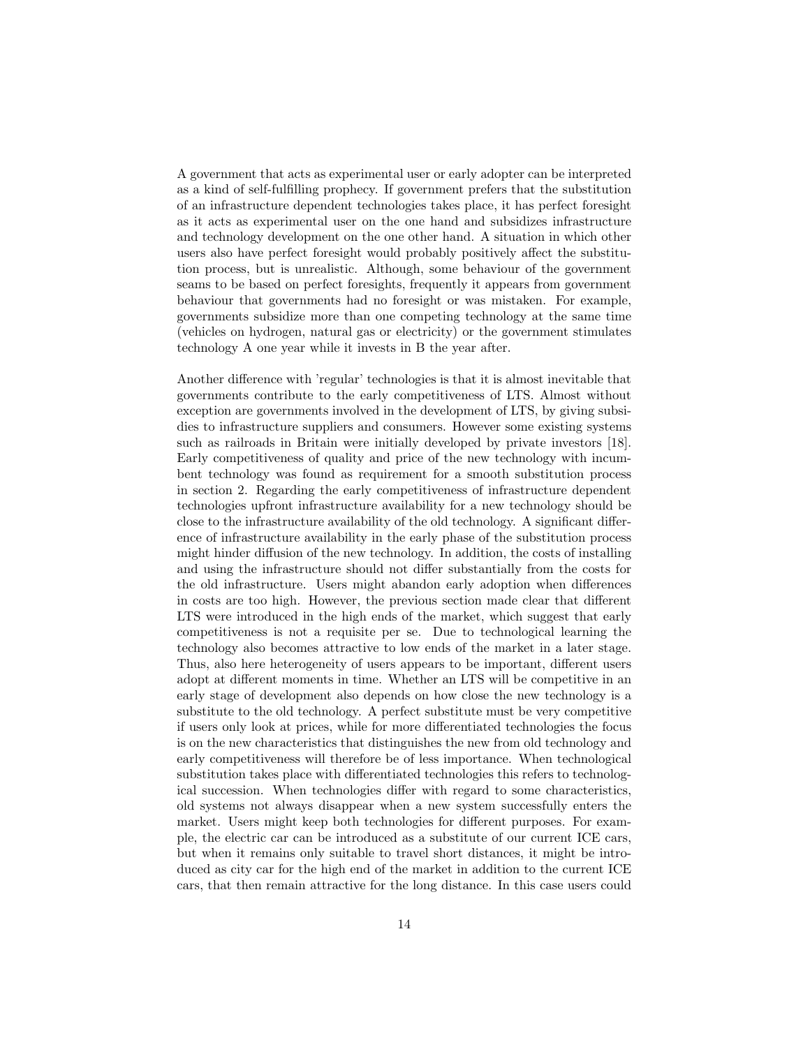A government that acts as experimental user or early adopter can be interpreted as a kind of self-fulfilling prophecy. If government prefers that the substitution of an infrastructure dependent technologies takes place, it has perfect foresight as it acts as experimental user on the one hand and subsidizes infrastructure and technology development on the one other hand. A situation in which other users also have perfect foresight would probably positively affect the substitution process, but is unrealistic. Although, some behaviour of the government seams to be based on perfect foresights, frequently it appears from government behaviour that governments had no foresight or was mistaken. For example, governments subsidize more than one competing technology at the same time (vehicles on hydrogen, natural gas or electricity) or the government stimulates technology A one year while it invests in B the year after.

Another difference with 'regular' technologies is that it is almost inevitable that governments contribute to the early competitiveness of LTS. Almost without exception are governments involved in the development of LTS, by giving subsidies to infrastructure suppliers and consumers. However some existing systems such as railroads in Britain were initially developed by private investors [18]. Early competitiveness of quality and price of the new technology with incumbent technology was found as requirement for a smooth substitution process in section 2. Regarding the early competitiveness of infrastructure dependent technologies upfront infrastructure availability for a new technology should be close to the infrastructure availability of the old technology. A significant difference of infrastructure availability in the early phase of the substitution process might hinder diffusion of the new technology. In addition, the costs of installing and using the infrastructure should not differ substantially from the costs for the old infrastructure. Users might abandon early adoption when differences in costs are too high. However, the previous section made clear that different LTS were introduced in the high ends of the market, which suggest that early competitiveness is not a requisite per se. Due to technological learning the technology also becomes attractive to low ends of the market in a later stage. Thus, also here heterogeneity of users appears to be important, different users adopt at different moments in time. Whether an LTS will be competitive in an early stage of development also depends on how close the new technology is a substitute to the old technology. A perfect substitute must be very competitive if users only look at prices, while for more differentiated technologies the focus is on the new characteristics that distinguishes the new from old technology and early competitiveness will therefore be of less importance. When technological substitution takes place with differentiated technologies this refers to technological succession. When technologies differ with regard to some characteristics, old systems not always disappear when a new system successfully enters the market. Users might keep both technologies for different purposes. For example, the electric car can be introduced as a substitute of our current ICE cars, but when it remains only suitable to travel short distances, it might be introduced as city car for the high end of the market in addition to the current ICE cars, that then remain attractive for the long distance. In this case users could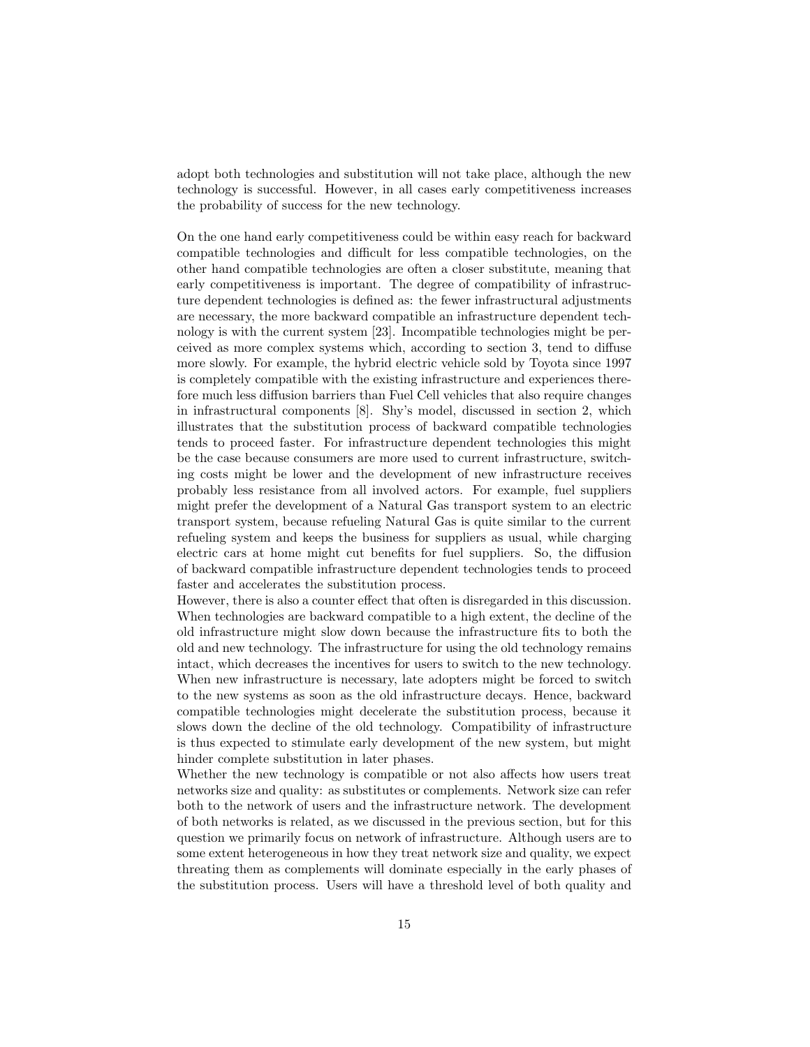adopt both technologies and substitution will not take place, although the new technology is successful. However, in all cases early competitiveness increases the probability of success for the new technology.

On the one hand early competitiveness could be within easy reach for backward compatible technologies and difficult for less compatible technologies, on the other hand compatible technologies are often a closer substitute, meaning that early competitiveness is important. The degree of compatibility of infrastructure dependent technologies is defined as: the fewer infrastructural adjustments are necessary, the more backward compatible an infrastructure dependent technology is with the current system [23]. Incompatible technologies might be perceived as more complex systems which, according to section 3, tend to diffuse more slowly. For example, the hybrid electric vehicle sold by Toyota since 1997 is completely compatible with the existing infrastructure and experiences therefore much less diffusion barriers than Fuel Cell vehicles that also require changes in infrastructural components [8]. Shy's model, discussed in section 2, which illustrates that the substitution process of backward compatible technologies tends to proceed faster. For infrastructure dependent technologies this might be the case because consumers are more used to current infrastructure, switching costs might be lower and the development of new infrastructure receives probably less resistance from all involved actors. For example, fuel suppliers might prefer the development of a Natural Gas transport system to an electric transport system, because refueling Natural Gas is quite similar to the current refueling system and keeps the business for suppliers as usual, while charging electric cars at home might cut benefits for fuel suppliers. So, the diffusion of backward compatible infrastructure dependent technologies tends to proceed faster and accelerates the substitution process.

However, there is also a counter effect that often is disregarded in this discussion. When technologies are backward compatible to a high extent, the decline of the old infrastructure might slow down because the infrastructure fits to both the old and new technology. The infrastructure for using the old technology remains intact, which decreases the incentives for users to switch to the new technology. When new infrastructure is necessary, late adopters might be forced to switch to the new systems as soon as the old infrastructure decays. Hence, backward compatible technologies might decelerate the substitution process, because it slows down the decline of the old technology. Compatibility of infrastructure is thus expected to stimulate early development of the new system, but might hinder complete substitution in later phases.

Whether the new technology is compatible or not also affects how users treat networks size and quality: as substitutes or complements. Network size can refer both to the network of users and the infrastructure network. The development of both networks is related, as we discussed in the previous section, but for this question we primarily focus on network of infrastructure. Although users are to some extent heterogeneous in how they treat network size and quality, we expect threating them as complements will dominate especially in the early phases of the substitution process. Users will have a threshold level of both quality and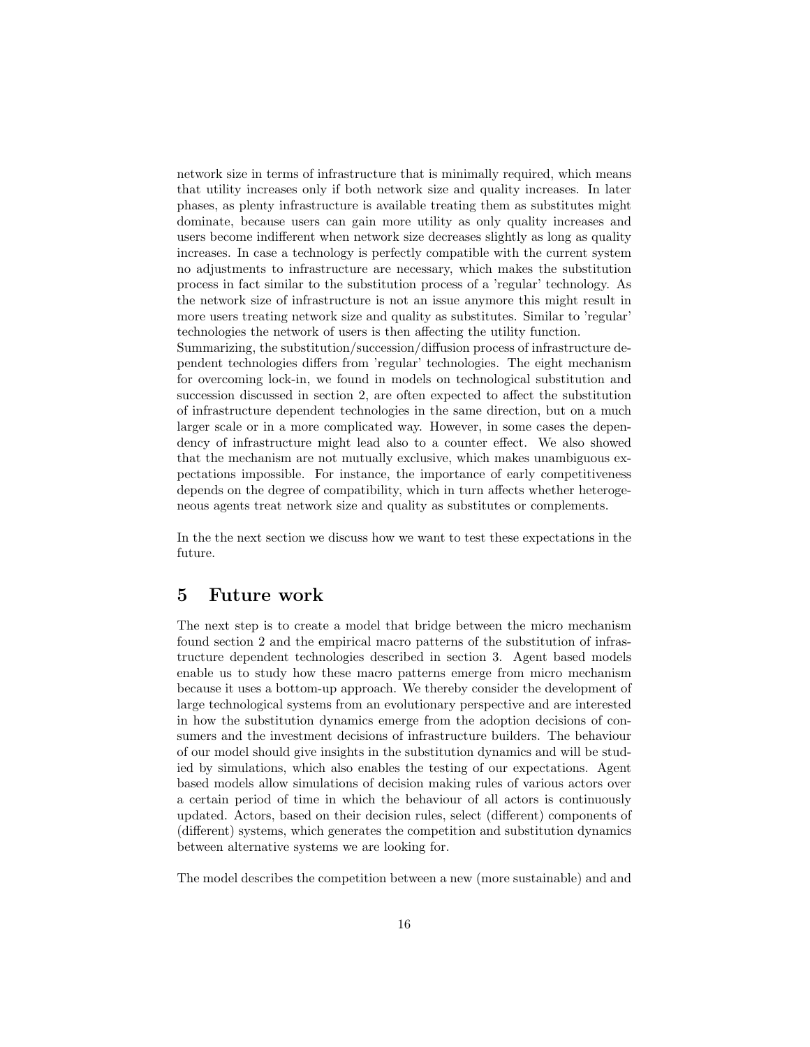network size in terms of infrastructure that is minimally required, which means that utility increases only if both network size and quality increases. In later phases, as plenty infrastructure is available treating them as substitutes might dominate, because users can gain more utility as only quality increases and users become indifferent when network size decreases slightly as long as quality increases. In case a technology is perfectly compatible with the current system no adjustments to infrastructure are necessary, which makes the substitution process in fact similar to the substitution process of a 'regular' technology. As the network size of infrastructure is not an issue anymore this might result in more users treating network size and quality as substitutes. Similar to 'regular' technologies the network of users is then affecting the utility function.

Summarizing, the substitution/succession/diffusion process of infrastructure dependent technologies differs from 'regular' technologies. The eight mechanism for overcoming lock-in, we found in models on technological substitution and succession discussed in section 2, are often expected to affect the substitution of infrastructure dependent technologies in the same direction, but on a much larger scale or in a more complicated way. However, in some cases the dependency of infrastructure might lead also to a counter effect. We also showed that the mechanism are not mutually exclusive, which makes unambiguous expectations impossible. For instance, the importance of early competitiveness depends on the degree of compatibility, which in turn affects whether heterogeneous agents treat network size and quality as substitutes or complements.

In the the next section we discuss how we want to test these expectations in the future.

### 5 Future work

The next step is to create a model that bridge between the micro mechanism found section 2 and the empirical macro patterns of the substitution of infrastructure dependent technologies described in section 3. Agent based models enable us to study how these macro patterns emerge from micro mechanism because it uses a bottom-up approach. We thereby consider the development of large technological systems from an evolutionary perspective and are interested in how the substitution dynamics emerge from the adoption decisions of consumers and the investment decisions of infrastructure builders. The behaviour of our model should give insights in the substitution dynamics and will be studied by simulations, which also enables the testing of our expectations. Agent based models allow simulations of decision making rules of various actors over a certain period of time in which the behaviour of all actors is continuously updated. Actors, based on their decision rules, select (different) components of (different) systems, which generates the competition and substitution dynamics between alternative systems we are looking for.

The model describes the competition between a new (more sustainable) and and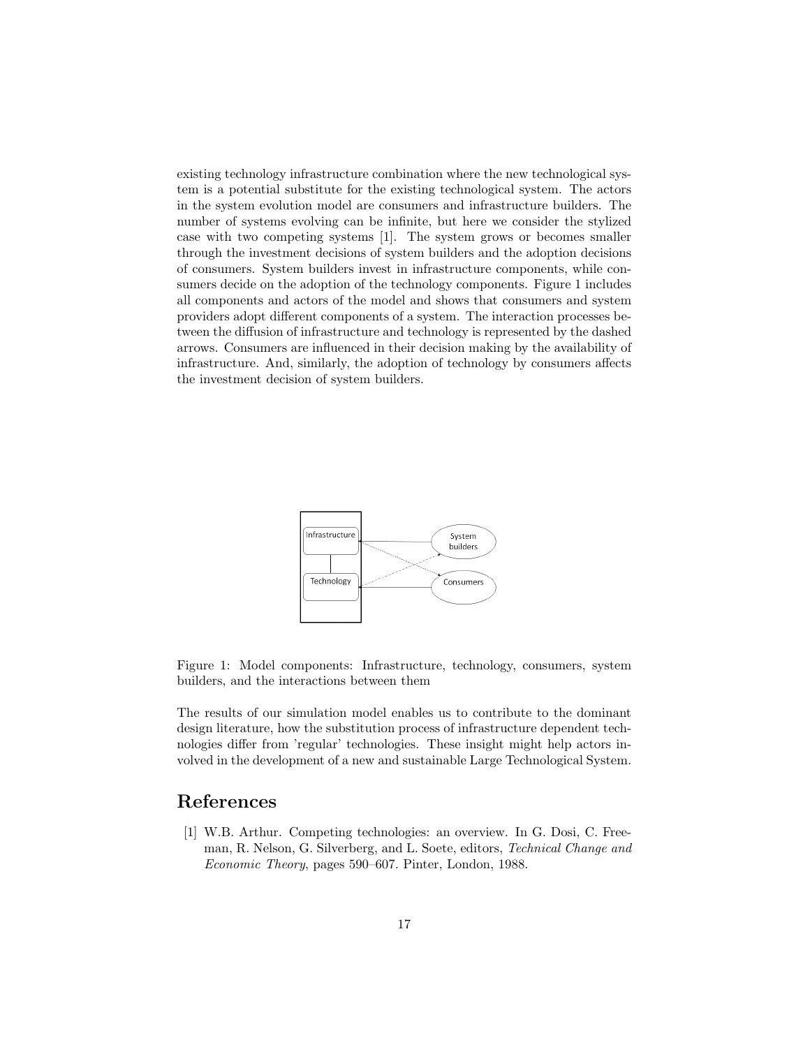existing technology infrastructure combination where the new technological system is a potential substitute for the existing technological system. The actors in the system evolution model are consumers and infrastructure builders. The number of systems evolving can be infinite, but here we consider the stylized case with two competing systems [1]. The system grows or becomes smaller through the investment decisions of system builders and the adoption decisions of consumers. System builders invest in infrastructure components, while consumers decide on the adoption of the technology components. Figure 1 includes all components and actors of the model and shows that consumers and system providers adopt different components of a system. The interaction processes between the diffusion of infrastructure and technology is represented by the dashed arrows. Consumers are influenced in their decision making by the availability of infrastructure. And, similarly, the adoption of technology by consumers affects the investment decision of system builders.



Figure 1: Model components: Infrastructure, technology, consumers, system builders, and the interactions between them

The results of our simulation model enables us to contribute to the dominant design literature, how the substitution process of infrastructure dependent technologies differ from 'regular' technologies. These insight might help actors involved in the development of a new and sustainable Large Technological System.

### References

[1] W.B. Arthur. Competing technologies: an overview. In G. Dosi, C. Freeman, R. Nelson, G. Silverberg, and L. Soete, editors, Technical Change and Economic Theory, pages 590–607. Pinter, London, 1988.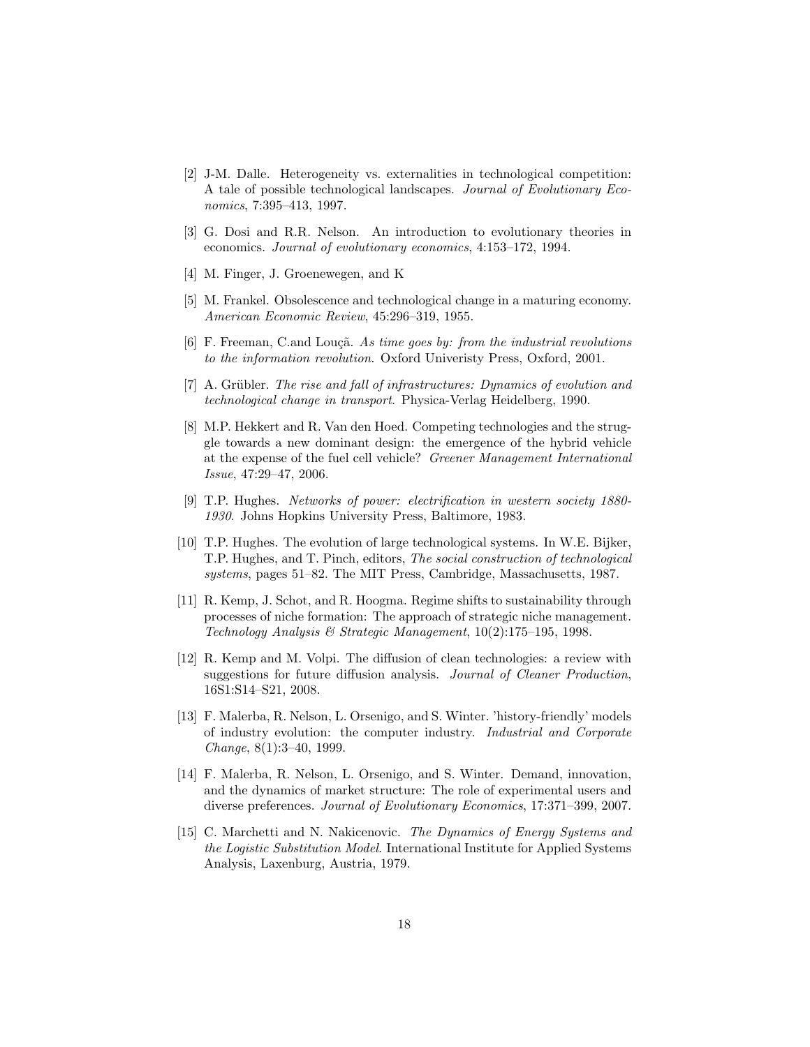- [2] J-M. Dalle. Heterogeneity vs. externalities in technological competition: A tale of possible technological landscapes. Journal of Evolutionary Economics, 7:395–413, 1997.
- [3] G. Dosi and R.R. Nelson. An introduction to evolutionary theories in economics. Journal of evolutionary economics, 4:153–172, 1994.
- [4] M. Finger, J. Groenewegen, and K
- [5] M. Frankel. Obsolescence and technological change in a maturing economy. American Economic Review, 45:296–319, 1955.
- [6] F. Freeman, C.and Louçã. As time goes by: from the industrial revolutions to the information revolution. Oxford Univeristy Press, Oxford, 2001.
- [7] A. Grübler. The rise and fall of infrastructures: Dynamics of evolution and technological change in transport. Physica-Verlag Heidelberg, 1990.
- [8] M.P. Hekkert and R. Van den Hoed. Competing technologies and the struggle towards a new dominant design: the emergence of the hybrid vehicle at the expense of the fuel cell vehicle? Greener Management International Issue, 47:29–47, 2006.
- [9] T.P. Hughes. Networks of power: electrification in western society 1880- 1930. Johns Hopkins University Press, Baltimore, 1983.
- [10] T.P. Hughes. The evolution of large technological systems. In W.E. Bijker, T.P. Hughes, and T. Pinch, editors, The social construction of technological systems, pages 51–82. The MIT Press, Cambridge, Massachusetts, 1987.
- [11] R. Kemp, J. Schot, and R. Hoogma. Regime shifts to sustainability through processes of niche formation: The approach of strategic niche management. Technology Analysis & Strategic Management, 10(2):175–195, 1998.
- [12] R. Kemp and M. Volpi. The diffusion of clean technologies: a review with suggestions for future diffusion analysis. Journal of Cleaner Production, 16S1:S14–S21, 2008.
- [13] F. Malerba, R. Nelson, L. Orsenigo, and S. Winter. 'history-friendly' models of industry evolution: the computer industry. Industrial and Corporate Change, 8(1):3–40, 1999.
- [14] F. Malerba, R. Nelson, L. Orsenigo, and S. Winter. Demand, innovation, and the dynamics of market structure: The role of experimental users and diverse preferences. Journal of Evolutionary Economics, 17:371–399, 2007.
- [15] C. Marchetti and N. Nakicenovic. The Dynamics of Energy Systems and the Logistic Substitution Model. International Institute for Applied Systems Analysis, Laxenburg, Austria, 1979.